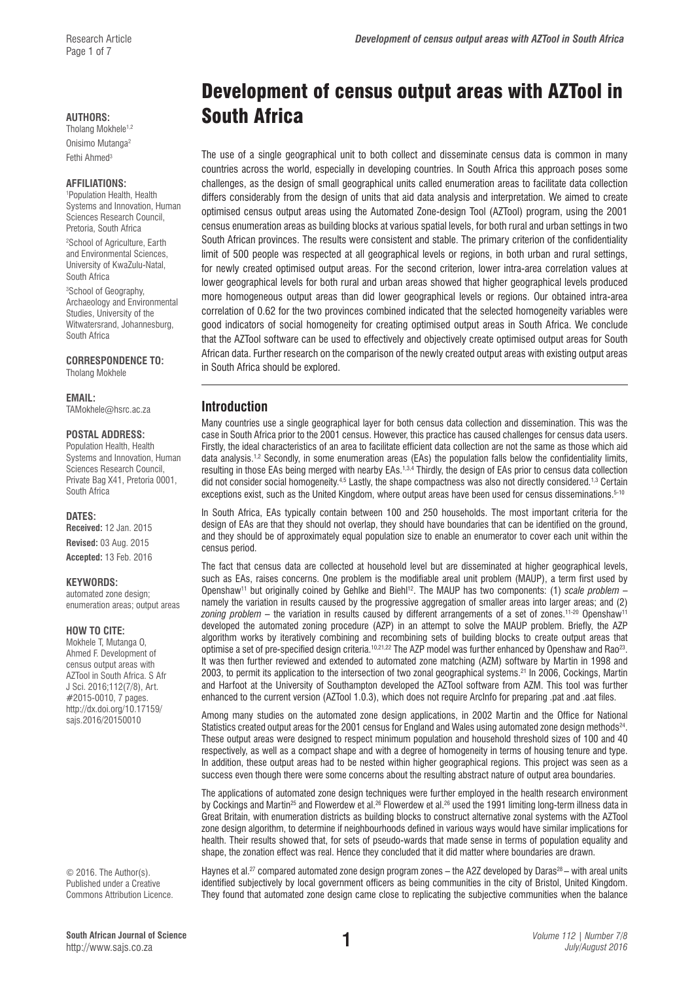Tholang Mokhele<sup>1,2</sup> Onisimo Mutanga2 Fethi Ahmed3

#### **AFFILIATIONS:**

1 Population Health, Health Systems and Innovation, Human Sciences Research Council, Pretoria, South Africa

2 School of Agriculture, Earth and Environmental Sciences, University of KwaZulu-Natal, South Africa

3 School of Geography, Archaeology and Environmental Studies, University of the Witwatersrand, Johannesburg, South Africa

**CORRESPONDENCE TO:**  Tholang Mokhele

**EMAIL:**  [TAMokhele@hsrc.ac.za](mailto:TAMokhele@hsrc.ac.za)

#### **POSTAL ADDRESS:**

Population Health, Health Systems and Innovation, Human Sciences Research Council, Private Bag X41, Pretoria 0001, South Africa

#### **DATES:**

**Received:** 12 Jan. 2015 **Revised:** 03 Aug. 2015 **Accepted:** 13 Feb. 2016

#### **KEYWORDS:**

automated zone design; enumeration areas; output areas

#### **HOW TO CITE:**

Mokhele T, Mutanga O, Ahmed F. Development of census output areas with AZTool in South Africa. S Afr J Sci. 2016;112(7/8), Art. #2015-0010, 7 pages. [http://dx.doi.org/10.17159/](http://dx.doi.org/10.17159/sajs.2016/20150010) [sajs.2016/20150010](http://dx.doi.org/10.17159/sajs.2016/20150010)

© 2016. The Author(s). Published under a Creative Commons Attribution Licence.

# Development of census output areas with AZTool in AUTHORS: **South Africa**

The use of a single geographical unit to both collect and disseminate census data is common in many countries across the world, especially in developing countries. In South Africa this approach poses some challenges, as the design of small geographical units called enumeration areas to facilitate data collection differs considerably from the design of units that aid data analysis and interpretation. We aimed to create optimised census output areas using the Automated Zone-design Tool (AZTool) program, using the 2001 census enumeration areas as building blocks at various spatial levels, for both rural and urban settings in two South African provinces. The results were consistent and stable. The primary criterion of the confidentiality limit of 500 people was respected at all geographical levels or regions, in both urban and rural settings, for newly created optimised output areas. For the second criterion, lower intra-area correlation values at lower geographical levels for both rural and urban areas showed that higher geographical levels produced more homogeneous output areas than did lower geographical levels or regions. Our obtained intra-area correlation of 0.62 for the two provinces combined indicated that the selected homogeneity variables were good indicators of social homogeneity for creating optimised output areas in South Africa. We conclude that the AZTool software can be used to effectively and objectively create optimised output areas for South African data. Further research on the comparison of the newly created output areas with existing output areas in South Africa should be explored.

### **Introduction**

Many countries use a single geographical layer for both census data collection and dissemination. This was the case in South Africa prior to the 2001 census. However, this practice has caused challenges for census data users. Firstly, the ideal characteristics of an area to facilitate efficient data collection are not the same as those which aid data analysis.<sup>1,2</sup> Secondly, in some enumeration areas (EAs) the population falls below the confidentiality limits, resulting in those EAs being merged with nearby EAs.<sup>1,3,4</sup> Thirdly, the design of EAs prior to census data collection did not consider social homogeneity.<sup>4,5</sup> Lastly, the shape compactness was also not directly considered.<sup>1,3</sup> Certain exceptions exist, such as the United Kingdom, where output areas have been used for census disseminations.<sup>5-10</sup>

In South Africa, EAs typically contain between 100 and 250 households. The most important criteria for the design of EAs are that they should not overlap, they should have boundaries that can be identified on the ground, and they should be of approximately equal population size to enable an enumerator to cover each unit within the census period.

The fact that census data are collected at household level but are disseminated at higher geographical levels, such as EAs, raises concerns. One problem is the modifiable areal unit problem (MAUP), a term first used by Openshaw11 but originally coined by Gehlke and Biehl12. The MAUP has two components: (1) *scale problem* – namely the variation in results caused by the progressive aggregation of smaller areas into larger areas; and (2) *zoning problem* – the variation in results caused by different arrangements of a set of zones.11-20 Openshaw11 developed the automated zoning procedure (AZP) in an attempt to solve the MAUP problem. Briefly, the AZP algorithm works by iteratively combining and recombining sets of building blocks to create output areas that optimise a set of pre-specified design criteria.<sup>10,21,22</sup> The AZP model was further enhanced by Openshaw and Rao<sup>23</sup>. It was then further reviewed and extended to automated zone matching (AZM) software by Martin in 1998 and 2003, to permit its application to the intersection of two zonal geographical systems.21 In 2006, Cockings, Martin and Harfoot at the University of Southampton developed the AZTool software from AZM. This tool was further enhanced to the current version (AZTool 1.0.3), which does not require ArcInfo for preparing .pat and .aat files.

Among many studies on the automated zone design applications, in 2002 Martin and the Office for National Statistics created output areas for the 2001 census for England and Wales using automated zone design methods<sup>24</sup>. These output areas were designed to respect minimum population and household threshold sizes of 100 and 40 respectively, as well as a compact shape and with a degree of homogeneity in terms of housing tenure and type. In addition, these output areas had to be nested within higher geographical regions. This project was seen as a success even though there were some concerns about the resulting abstract nature of output area boundaries.

The applications of automated zone design techniques were further employed in the health research environment by Cockings and Martin<sup>25</sup> and Flowerdew et al.<sup>26</sup> Flowerdew et al.<sup>26</sup> used the 1991 limiting long-term illness data in Great Britain, with enumeration districts as building blocks to construct alternative zonal systems with the AZTool zone design algorithm, to determine if neighbourhoods defined in various ways would have similar implications for health. Their results showed that, for sets of pseudo-wards that made sense in terms of population equality and shape, the zonation effect was real. Hence they concluded that it did matter where boundaries are drawn.

Haynes et al.<sup>27</sup> compared automated zone design program zones - the A2Z developed by Daras<sup>28</sup> - with areal units identified subjectively by local government officers as being communities in the city of Bristol, United Kingdom. They found that automated zone design came close to replicating the subjective communities when the balance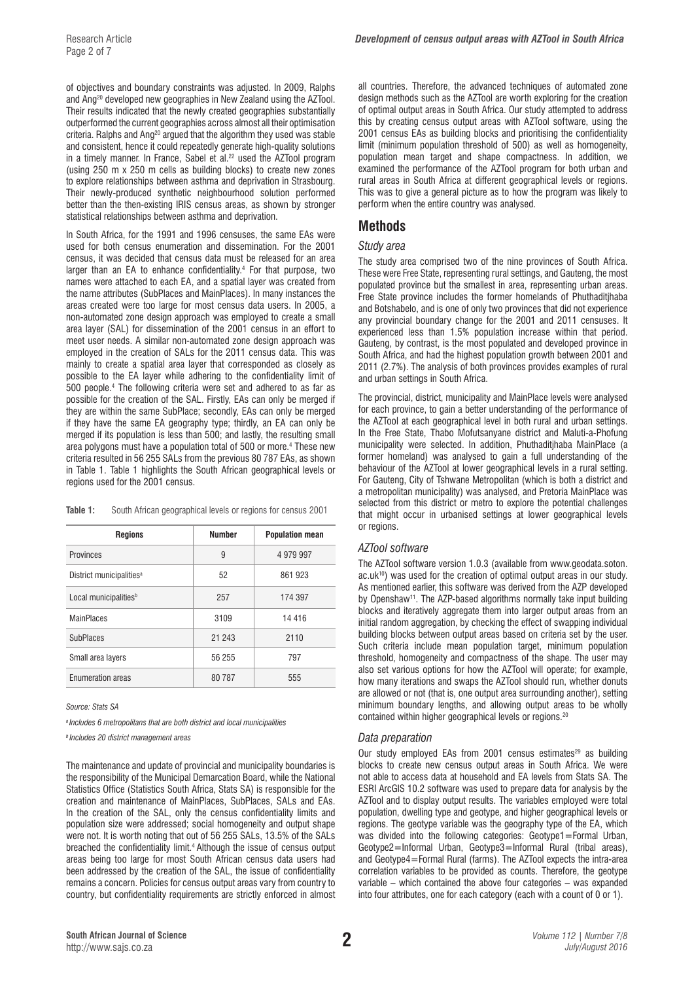of objectives and boundary constraints was adjusted. In 2009, Ralphs and Ang<sup>20</sup> developed new geographies in New Zealand using the AZTool. Their results indicated that the newly created geographies substantially outperformed the current geographies across almost all their optimisation criteria. Ralphs and Ang<sup>20</sup> argued that the algorithm they used was stable and consistent, hence it could repeatedly generate high-quality solutions in a timely manner. In France, Sabel et al.<sup>22</sup> used the AZTool program (using 250 m x 250 m cells as building blocks) to create new zones to explore relationships between asthma and deprivation in Strasbourg. Their newly-produced synthetic neighbourhood solution performed better than the then-existing IRIS census areas, as shown by stronger statistical relationships between asthma and deprivation.

In South Africa, for the 1991 and 1996 censuses, the same EAs were used for both census enumeration and dissemination. For the 2001 census, it was decided that census data must be released for an area larger than an EA to enhance confidentiality.4 For that purpose, two names were attached to each EA, and a spatial layer was created from the name attributes (SubPlaces and MainPlaces). In many instances the areas created were too large for most census data users. In 2005, a non-automated zone design approach was employed to create a small area layer (SAL) for dissemination of the 2001 census in an effort to meet user needs. A similar non-automated zone design approach was employed in the creation of SALs for the 2011 census data. This was mainly to create a spatial area layer that corresponded as closely as possible to the EA layer while adhering to the confidentiality limit of 500 people.4 The following criteria were set and adhered to as far as possible for the creation of the SAL. Firstly, EAs can only be merged if they are within the same SubPlace; secondly, EAs can only be merged if they have the same EA geography type; thirdly, an EA can only be merged if its population is less than 500; and lastly, the resulting small area polygons must have a population total of 500 or more.<sup>4</sup> These new criteria resulted in 56 255 SALs from the previous 80 787 EAs, as shown in Table 1. Table 1 highlights the South African geographical levels or regions used for the 2001 census.

| <b>Regions</b>                       | <b>Number</b> | <b>Population mean</b> |  |  |  |  |
|--------------------------------------|---------------|------------------------|--|--|--|--|
| Provinces                            | 9             | 4979997                |  |  |  |  |
| District municipalities <sup>a</sup> | 52            | 861 923                |  |  |  |  |
| Local municipalities <sup>b</sup>    | 257           | 174 397                |  |  |  |  |
| <b>MainPlaces</b>                    | 3109          | 14 416                 |  |  |  |  |
| <b>SubPlaces</b>                     | 21 243        | 2110                   |  |  |  |  |
| Small area layers                    | 56 255        | 797                    |  |  |  |  |

**Table 1:** South African geographical levels or regions for census 2001

#### *Source: Stats SA*

*a Includes 6 metropolitans that are both district and local municipalities*

Enumeration areas 80 787 555

*b Includes 20 district management areas*

The maintenance and update of provincial and municipality boundaries is the responsibility of the Municipal Demarcation Board, while the National Statistics Office (Statistics South Africa, Stats SA) is responsible for the creation and maintenance of MainPlaces, SubPlaces, SALs and EAs. In the creation of the SAL, only the census confidentiality limits and population size were addressed; social homogeneity and output shape were not. It is worth noting that out of 56 255 SALs, 13.5% of the SALs breached the confidentiality limit.4 Although the issue of census output areas being too large for most South African census data users had been addressed by the creation of the SAL, the issue of confidentiality remains a concern. Policies for census output areas vary from country to country, but confidentiality requirements are strictly enforced in almost

all countries. Therefore, the advanced techniques of automated zone design methods such as the AZTool are worth exploring for the creation of optimal output areas in South Africa. Our study attempted to address this by creating census output areas with AZTool software, using the 2001 census EAs as building blocks and prioritising the confidentiality limit (minimum population threshold of 500) as well as homogeneity, population mean target and shape compactness. In addition, we examined the performance of the AZTool program for both urban and rural areas in South Africa at different geographical levels or regions. This was to give a general picture as to how the program was likely to perform when the entire country was analysed.

### **Methods**

#### *Study area*

The study area comprised two of the nine provinces of South Africa. These were Free State, representing rural settings, and Gauteng, the most populated province but the smallest in area, representing urban areas. Free State province includes the former homelands of Phuthaditjhaba and Botshabelo, and is one of only two provinces that did not experience any provincial boundary change for the 2001 and 2011 censuses. It experienced less than 1.5% population increase within that period. Gauteng, by contrast, is the most populated and developed province in South Africa, and had the highest population growth between 2001 and 2011 (2.7%). The analysis of both provinces provides examples of rural and urban settings in South Africa.

The provincial, district, municipality and MainPlace levels were analysed for each province, to gain a better understanding of the performance of the AZTool at each geographical level in both rural and urban settings. In the Free State, Thabo Mofutsanyane district and Maluti-a-Phofung municipality were selected. In addition, Phuthaditjhaba MainPlace (a former homeland) was analysed to gain a full understanding of the behaviour of the AZTool at lower geographical levels in a rural setting. For Gauteng, City of Tshwane Metropolitan (which is both a district and a metropolitan municipality) was analysed, and Pretoria MainPlace was selected from this district or metro to explore the potential challenges that might occur in urbanised settings at lower geographical levels or regions.

#### *AZTool software*

The AZTool software version 1.0.3 (available from [www.geodata.soton.](www.geodata.soton.ac.uk) ac.uk<sup>10</sup>) was used for the creation of optimal output areas in our study. As mentioned earlier, this software was derived from the AZP developed by Openshaw<sup>11</sup>. The AZP-based algorithms normally take input building blocks and iteratively aggregate them into larger output areas from an initial random aggregation, by checking the effect of swapping individual building blocks between output areas based on criteria set by the user. Such criteria include mean population target, minimum population threshold, homogeneity and compactness of the shape. The user may also set various options for how the AZTool will operate; for example, how many iterations and swaps the AZTool should run, whether donuts are allowed or not (that is, one output area surrounding another), setting minimum boundary lengths, and allowing output areas to be wholly contained within higher geographical levels or regions.20

#### *Data preparation*

Our study employed EAs from 2001 census estimates<sup>29</sup> as building blocks to create new census output areas in South Africa. We were not able to access data at household and EA levels from Stats SA. The ESRI ArcGIS 10.2 software was used to prepare data for analysis by the AZTool and to display output results. The variables employed were total population, dwelling type and geotype, and higher geographical levels or regions. The geotype variable was the geography type of the EA, which was divided into the following categories: Geotype1=Formal Urban, Geotype2=Informal Urban, Geotype3=Informal Rural (tribal areas), and Geotype4=Formal Rural (farms). The AZTool expects the intra-area correlation variables to be provided as counts. Therefore, the geotype variable – which contained the above four categories – was expanded into four attributes, one for each category (each with a count of 0 or 1).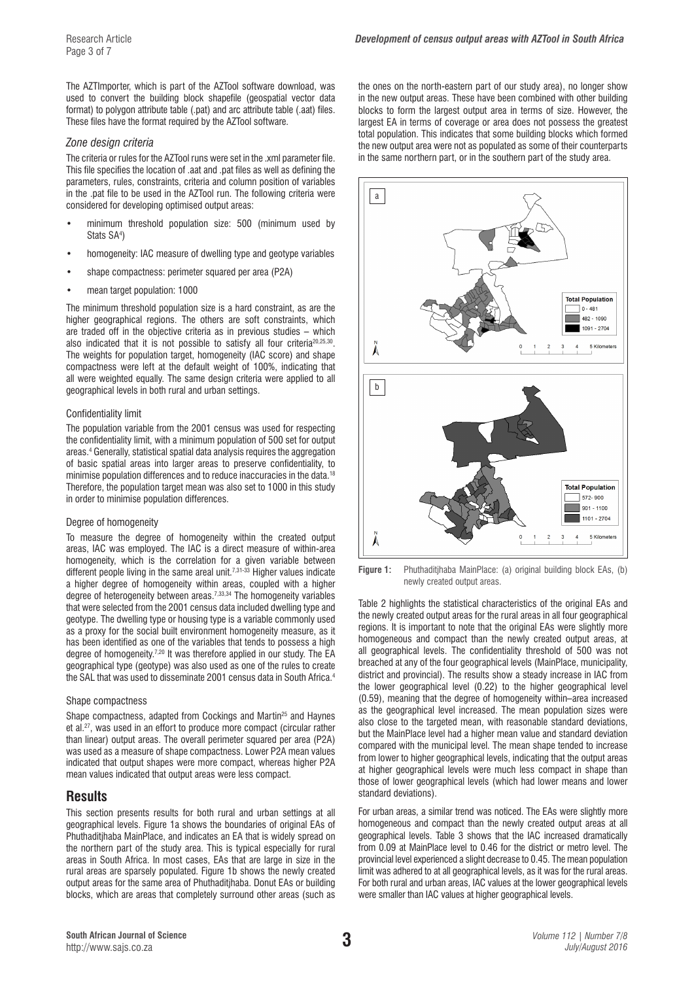The AZTImporter, which is part of the AZTool software download, was used to convert the building block shapefile (geospatial vector data format) to polygon attribute table (.pat) and arc attribute table (.aat) files. These files have the format required by the AZTool software.

#### *Zone design criteria*

The criteria or rules for the AZTool runs were set in the .xml parameter file. This file specifies the location of .aat and .pat files as well as defining the parameters, rules, constraints, criteria and column position of variables in the .pat file to be used in the AZTool run. The following criteria were considered for developing optimised output areas:

- minimum threshold population size: 500 (minimum used by Stats SA<sup>4</sup>)
- homogeneity: IAC measure of dwelling type and geotype variables
- shape compactness: perimeter squared per area (P2A)
- mean target population: 1000

The minimum threshold population size is a hard constraint, as are the higher geographical regions. The others are soft constraints, which are traded off in the objective criteria as in previous studies – which also indicated that it is not possible to satisfy all four criteria20,25,30. The weights for population target, homogeneity (IAC score) and shape compactness were left at the default weight of 100%, indicating that all were weighted equally. The same design criteria were applied to all geographical levels in both rural and urban settings.

#### Confidentiality limit

The population variable from the 2001 census was used for respecting the confidentiality limit, with a minimum population of 500 set for output areas.4 Generally, statistical spatial data analysis requires the aggregation of basic spatial areas into larger areas to preserve confidentiality, to minimise population differences and to reduce inaccuracies in the data.18 Therefore, the population target mean was also set to 1000 in this study in order to minimise population differences.

#### Degree of homogeneity

To measure the degree of homogeneity within the created output areas, IAC was employed. The IAC is a direct measure of within-area homogeneity, which is the correlation for a given variable between different people living in the same areal unit.<sup> $7,31-33$ </sup> Higher values indicate a higher degree of homogeneity within areas, coupled with a higher degree of heterogeneity between areas.7,33,34 The homogeneity variables that were selected from the 2001 census data included dwelling type and geotype. The dwelling type or housing type is a variable commonly used as a proxy for the social built environment homogeneity measure, as it has been identified as one of the variables that tends to possess a high degree of homogeneity.7,20 It was therefore applied in our study. The EA geographical type (geotype) was also used as one of the rules to create the SAL that was used to disseminate 2001 census data in South Africa.4

#### Shape compactness

Shape compactness, adapted from Cockings and Martin25 and Haynes et al.27, was used in an effort to produce more compact (circular rather than linear) output areas. The overall perimeter squared per area (P2A) was used as a measure of shape compactness. Lower P2A mean values indicated that output shapes were more compact, whereas higher P2A mean values indicated that output areas were less compact.

#### **Results**

This section presents results for both rural and urban settings at all geographical levels. Figure 1a shows the boundaries of original EAs of Phuthaditjhaba MainPlace, and indicates an EA that is widely spread on the northern part of the study area. This is typical especially for rural areas in South Africa. In most cases, EAs that are large in size in the rural areas are sparsely populated. Figure 1b shows the newly created output areas for the same area of Phuthaditjhaba. Donut EAs or building blocks, which are areas that completely surround other areas (such as the ones on the north-eastern part of our study area), no longer show in the new output areas. These have been combined with other building blocks to form the largest output area in terms of size. However, the largest EA in terms of coverage or area does not possess the greatest total population. This indicates that some building blocks which formed the new output area were not as populated as some of their counterparts in the same northern part, or in the southern part of the study area.



**Figure 1:** Phuthaditihaba MainPlace: (a) original building block EAs, (b) newly created output areas.

Table 2 highlights the statistical characteristics of the original EAs and the newly created output areas for the rural areas in all four geographical regions. It is important to note that the original EAs were slightly more homogeneous and compact than the newly created output areas, at all geographical levels. The confidentiality threshold of 500 was not breached at any of the four geographical levels (MainPlace, municipality, district and provincial). The results show a steady increase in IAC from the lower geographical level (0.22) to the higher geographical level (0.59), meaning that the degree of homogeneity within–area increased as the geographical level increased. The mean population sizes were also close to the targeted mean, with reasonable standard deviations, but the MainPlace level had a higher mean value and standard deviation compared with the municipal level. The mean shape tended to increase from lower to higher geographical levels, indicating that the output areas at higher geographical levels were much less compact in shape than those of lower geographical levels (which had lower means and lower standard deviations).

For urban areas, a similar trend was noticed. The EAs were slightly more homogeneous and compact than the newly created output areas at all geographical levels. Table 3 shows that the IAC increased dramatically from 0.09 at MainPlace level to 0.46 for the district or metro level. The provincial level experienced a slight decrease to 0.45. The mean population limit was adhered to at all geographical levels, as it was for the rural areas. For both rural and urban areas, IAC values at the lower geographical levels were smaller than IAC values at higher geographical levels.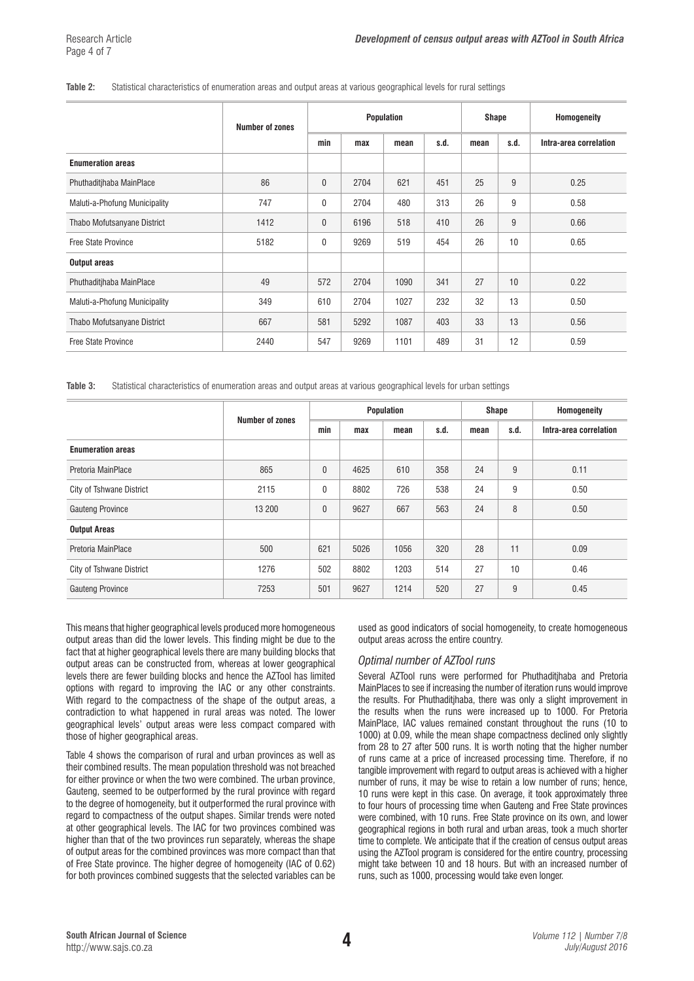#### **Table 2:** Statistical characteristics of enumeration areas and output areas at various geographical levels for rural settings

|                               | <b>Number of zones</b> |              |      | Population |      | Shape |      | Homogeneity            |  |
|-------------------------------|------------------------|--------------|------|------------|------|-------|------|------------------------|--|
|                               |                        | min          | max  | mean       | s.d. | mean  | s.d. | Intra-area correlation |  |
| <b>Enumeration areas</b>      |                        |              |      |            |      |       |      |                        |  |
| Phuthaditjhaba MainPlace      | 86                     | $\mathbf 0$  | 2704 | 621        | 451  | 25    | 9    | 0.25                   |  |
| Maluti-a-Phofung Municipality | 747                    | $\mathbf{0}$ | 2704 | 480        | 313  | 26    | 9    | 0.58                   |  |
| Thabo Mofutsanyane District   | 1412                   | $\mathbf 0$  | 6196 | 518        | 410  | 26    | 9    | 0.66                   |  |
| <b>Free State Province</b>    | 5182                   | $\mathbf 0$  | 9269 | 519        | 454  | 26    | 10   | 0.65                   |  |
| <b>Output areas</b>           |                        |              |      |            |      |       |      |                        |  |
| Phuthaditjhaba MainPlace      | 49                     | 572          | 2704 | 1090       | 341  | 27    | 10   | 0.22                   |  |
| Maluti-a-Phofung Municipality | 349                    | 610          | 2704 | 1027       | 232  | 32    | 13   | 0.50                   |  |
| Thabo Mofutsanyane District   | 667                    | 581          | 5292 | 1087       | 403  | 33    | 13   | 0.56                   |  |
| <b>Free State Province</b>    | 2440                   | 547          | 9269 | 1101       | 489  | 31    | 12   | 0.59                   |  |

**Table 3:** Statistical characteristics of enumeration areas and output areas at various geographical levels for urban settings

|                                 | <b>Number of zones</b> |             |      | <b>Population</b> |      | <b>Shape</b> |      | Homogeneity            |  |
|---------------------------------|------------------------|-------------|------|-------------------|------|--------------|------|------------------------|--|
|                                 |                        | min         | max  | mean              | s.d. | mean         | s.d. | Intra-area correlation |  |
| <b>Enumeration areas</b>        |                        |             |      |                   |      |              |      |                        |  |
| Pretoria MainPlace              | 865                    | $\mathbf 0$ | 4625 | 610               | 358  | 24           | 9    | 0.11                   |  |
| <b>City of Tshwane District</b> | 2115                   | 0           | 8802 | 726               | 538  | 24           | 9    | 0.50                   |  |
| <b>Gauteng Province</b>         | 13 200                 | $\mathbf 0$ | 9627 | 667               | 563  | 24           | 8    | 0.50                   |  |
| <b>Output Areas</b>             |                        |             |      |                   |      |              |      |                        |  |
| Pretoria MainPlace              | 500                    | 621         | 5026 | 1056              | 320  | 28           | 11   | 0.09                   |  |
| <b>City of Tshwane District</b> | 1276                   | 502         | 8802 | 1203              | 514  | 27           | 10   | 0.46                   |  |
| <b>Gauteng Province</b>         | 7253                   | 501         | 9627 | 1214              | 520  | 27           | 9    | 0.45                   |  |

This means that higher geographical levels produced more homogeneous output areas than did the lower levels. This finding might be due to the fact that at higher geographical levels there are many building blocks that output areas can be constructed from, whereas at lower geographical levels there are fewer building blocks and hence the AZTool has limited options with regard to improving the IAC or any other constraints. With regard to the compactness of the shape of the output areas, a contradiction to what happened in rural areas was noted. The lower geographical levels' output areas were less compact compared with those of higher geographical areas.

Table 4 shows the comparison of rural and urban provinces as well as their combined results. The mean population threshold was not breached for either province or when the two were combined. The urban province, Gauteng, seemed to be outperformed by the rural province with regard to the degree of homogeneity, but it outperformed the rural province with regard to compactness of the output shapes. Similar trends were noted at other geographical levels. The IAC for two provinces combined was higher than that of the two provinces run separately, whereas the shape of output areas for the combined provinces was more compact than that of Free State province. The higher degree of homogeneity (IAC of 0.62) for both provinces combined suggests that the selected variables can be

used as good indicators of social homogeneity, to create homogeneous output areas across the entire country.

#### *Optimal number of AZTool runs*

Several AZTool runs were performed for Phuthaditihaba and Pretoria MainPlaces to see if increasing the number of iteration runs would improve the results. For Phuthaditjhaba, there was only a slight improvement in the results when the runs were increased up to 1000. For Pretoria MainPlace, IAC values remained constant throughout the runs (10 to 1000) at 0.09, while the mean shape compactness declined only slightly from 28 to 27 after 500 runs. It is worth noting that the higher number of runs came at a price of increased processing time. Therefore, if no tangible improvement with regard to output areas is achieved with a higher number of runs, it may be wise to retain a low number of runs; hence, 10 runs were kept in this case. On average, it took approximately three to four hours of processing time when Gauteng and Free State provinces were combined, with 10 runs. Free State province on its own, and lower geographical regions in both rural and urban areas, took a much shorter time to complete. We anticipate that if the creation of census output areas using the AZTool program is considered for the entire country, processing might take between 10 and 18 hours. But with an increased number of runs, such as 1000, processing would take even longer.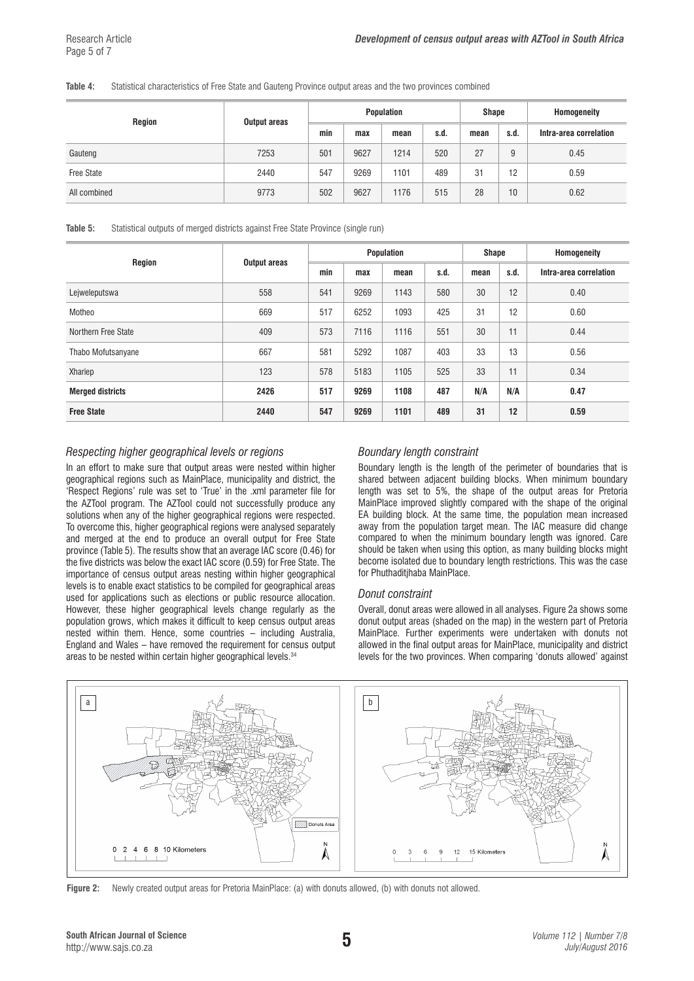| Table 4: | Statistical characteristics of Free State and Gauteng Province output areas and the two provinces combined |  |  |  |  |
|----------|------------------------------------------------------------------------------------------------------------|--|--|--|--|
|          |                                                                                                            |  |  |  |  |

| Region       | <b>Output areas</b> |     |      | <b>Population</b> |      | <b>Shape</b> |      | Homogeneity            |  |
|--------------|---------------------|-----|------|-------------------|------|--------------|------|------------------------|--|
|              |                     | min | max  | mean              | s.d. | mean         | s.d. | Intra-area correlation |  |
| Gauteng      | 7253                | 501 | 9627 | 1214              | 520  | 27           | 9    | 0.45                   |  |
| Free State   | 2440                | 547 | 9269 | 1101              | 489  | 31           | 12   | 0.59                   |  |
| All combined | 9773                | 502 | 9627 | 1176              | 515  | 28           | 10   | 0.62                   |  |

**Table 5:** Statistical outputs of merged districts against Free State Province (single run)

| Region                  | <b>Output areas</b> |     | Population |      | <b>Shape</b> |      | Homogeneity |                        |
|-------------------------|---------------------|-----|------------|------|--------------|------|-------------|------------------------|
|                         |                     | min | max        | mean | s.d.         | mean | s.d.        | Intra-area correlation |
| Lejweleputswa           | 558                 | 541 | 9269       | 1143 | 580          | 30   | 12          | 0.40                   |
| Motheo                  | 669                 | 517 | 6252       | 1093 | 425          | 31   | 12          | 0.60                   |
| Northern Free State     | 409                 | 573 | 7116       | 1116 | 551          | 30   | 11          | 0.44                   |
| Thabo Mofutsanyane      | 667                 | 581 | 5292       | 1087 | 403          | 33   | 13          | 0.56                   |
| Xhariep                 | 123                 | 578 | 5183       | 1105 | 525          | 33   | 11          | 0.34                   |
| <b>Merged districts</b> | 2426                | 517 | 9269       | 1108 | 487          | N/A  | N/A         | 0.47                   |
| <b>Free State</b>       | 2440                | 547 | 9269       | 1101 | 489          | 31   | 12          | 0.59                   |

### *Respecting higher geographical levels or regions*

In an effort to make sure that output areas were nested within higher geographical regions such as MainPlace, municipality and district, the 'Respect Regions' rule was set to 'True' in the .xml parameter file for the AZTool program. The AZTool could not successfully produce any solutions when any of the higher geographical regions were respected. To overcome this, higher geographical regions were analysed separately and merged at the end to produce an overall output for Free State province (Table 5). The results show that an average IAC score (0.46) for the five districts was below the exact IAC score (0.59) for Free State. The importance of census output areas nesting within higher geographical levels is to enable exact statistics to be compiled for geographical areas used for applications such as elections or public resource allocation. However, these higher geographical levels change regularly as the population grows, which makes it difficult to keep census output areas nested within them. Hence, some countries – including Australia, England and Wales – have removed the requirement for census output areas to be nested within certain higher geographical levels.<sup>34</sup>

### *Boundary length constraint*

Boundary length is the length of the perimeter of boundaries that is shared between adjacent building blocks. When minimum boundary length was set to 5%, the shape of the output areas for Pretoria MainPlace improved slightly compared with the shape of the original EA building block. At the same time, the population mean increased away from the population target mean. The IAC measure did change compared to when the minimum boundary length was ignored. Care should be taken when using this option, as many building blocks might become isolated due to boundary length restrictions. This was the case for Phuthaditjhaba MainPlace.

### *Donut constraint*

Overall, donut areas were allowed in all analyses. Figure 2a shows some donut output areas (shaded on the map) in the western part of Pretoria MainPlace. Further experiments were undertaken with donuts not allowed in the final output areas for MainPlace, municipality and district levels for the two provinces. When comparing 'donuts allowed' against



**Figure 2:** Newly created output areas for Pretoria MainPlace: (a) with donuts allowed, (b) with donuts not allowed.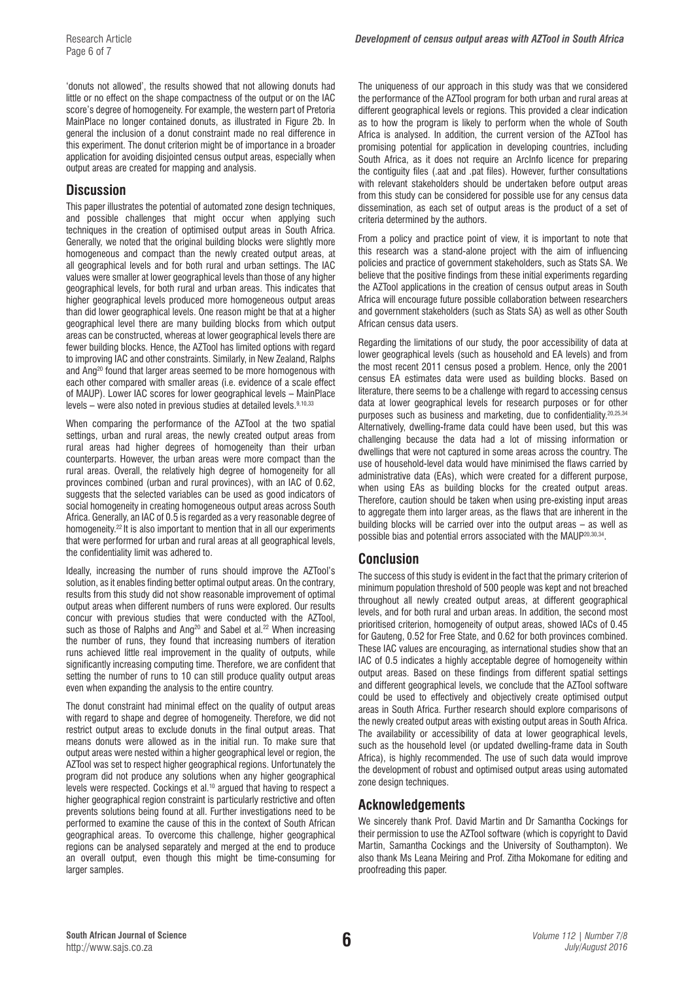'donuts not allowed', the results showed that not allowing donuts had little or no effect on the shape compactness of the output or on the IAC score's degree of homogeneity. For example, the western part of Pretoria MainPlace no longer contained donuts, as illustrated in Figure 2b. In general the inclusion of a donut constraint made no real difference in this experiment. The donut criterion might be of importance in a broader application for avoiding disjointed census output areas, especially when output areas are created for mapping and analysis.

### **Discussion**

This paper illustrates the potential of automated zone design techniques, and possible challenges that might occur when applying such techniques in the creation of optimised output areas in South Africa. Generally, we noted that the original building blocks were slightly more homogeneous and compact than the newly created output areas, at all geographical levels and for both rural and urban settings. The IAC values were smaller at lower geographical levels than those of any higher geographical levels, for both rural and urban areas. This indicates that higher geographical levels produced more homogeneous output areas than did lower geographical levels. One reason might be that at a higher geographical level there are many building blocks from which output areas can be constructed, whereas at lower geographical levels there are fewer building blocks. Hence, the AZTool has limited options with regard to improving IAC and other constraints. Similarly, in New Zealand, Ralphs and Ang<sup>20</sup> found that larger areas seemed to be more homogenous with each other compared with smaller areas (i.e. evidence of a scale effect of MAUP). Lower IAC scores for lower geographical levels – MainPlace levels - were also noted in previous studies at detailed levels.<sup>9,10,33</sup>

When comparing the performance of the AZTool at the two spatial settings, urban and rural areas, the newly created output areas from rural areas had higher degrees of homogeneity than their urban counterparts. However, the urban areas were more compact than the rural areas. Overall, the relatively high degree of homogeneity for all provinces combined (urban and rural provinces), with an IAC of 0.62, suggests that the selected variables can be used as good indicators of social homogeneity in creating homogeneous output areas across South Africa. Generally, an IAC of 0.5 is regarded as a very reasonable degree of homogeneity.22 It is also important to mention that in all our experiments that were performed for urban and rural areas at all geographical levels, the confidentiality limit was adhered to.

Ideally, increasing the number of runs should improve the AZTool's solution, as it enables finding better optimal output areas. On the contrary, results from this study did not show reasonable improvement of optimal output areas when different numbers of runs were explored. Our results concur with previous studies that were conducted with the AZTool, such as those of Ralphs and Ang<sup>20</sup> and Sabel et al.<sup>22</sup> When increasing the number of runs, they found that increasing numbers of iteration runs achieved little real improvement in the quality of outputs, while significantly increasing computing time. Therefore, we are confident that setting the number of runs to 10 can still produce quality output areas even when expanding the analysis to the entire country.

The donut constraint had minimal effect on the quality of output areas with regard to shape and degree of homogeneity. Therefore, we did not restrict output areas to exclude donuts in the final output areas. That means donuts were allowed as in the initial run. To make sure that output areas were nested within a higher geographical level or region, the AZTool was set to respect higher geographical regions. Unfortunately the program did not produce any solutions when any higher geographical levels were respected. Cockings et al.10 argued that having to respect a higher geographical region constraint is particularly restrictive and often prevents solutions being found at all. Further investigations need to be performed to examine the cause of this in the context of South African geographical areas. To overcome this challenge, higher geographical regions can be analysed separately and merged at the end to produce an overall output, even though this might be time-consuming for larger samples.

The uniqueness of our approach in this study was that we considered the performance of the AZTool program for both urban and rural areas at different geographical levels or regions. This provided a clear indication as to how the program is likely to perform when the whole of South Africa is analysed. In addition, the current version of the AZTool has promising potential for application in developing countries, including South Africa, as it does not require an ArcInfo licence for preparing the contiguity files (.aat and .pat files). However, further consultations with relevant stakeholders should be undertaken before output areas from this study can be considered for possible use for any census data dissemination, as each set of output areas is the product of a set of criteria determined by the authors.

From a policy and practice point of view, it is important to note that this research was a stand-alone project with the aim of influencing policies and practice of government stakeholders, such as Stats SA. We believe that the positive findings from these initial experiments regarding the AZTool applications in the creation of census output areas in South Africa will encourage future possible collaboration between researchers and government stakeholders (such as Stats SA) as well as other South African census data users.

Regarding the limitations of our study, the poor accessibility of data at lower geographical levels (such as household and EA levels) and from the most recent 2011 census posed a problem. Hence, only the 2001 census EA estimates data were used as building blocks. Based on literature, there seems to be a challenge with regard to accessing census data at lower geographical levels for research purposes or for other purposes such as business and marketing, due to confidentiality.20,25,34 Alternatively, dwelling-frame data could have been used, but this was challenging because the data had a lot of missing information or dwellings that were not captured in some areas across the country. The use of household-level data would have minimised the flaws carried by administrative data (EAs), which were created for a different purpose, when using EAs as building blocks for the created output areas. Therefore, caution should be taken when using pre-existing input areas to aggregate them into larger areas, as the flaws that are inherent in the building blocks will be carried over into the output areas – as well as possible bias and potential errors associated with the MAUP20,30,34.

## **Conclusion**

The success of this study is evident in the fact that the primary criterion of minimum population threshold of 500 people was kept and not breached throughout all newly created output areas, at different geographical levels, and for both rural and urban areas. In addition, the second most prioritised criterion, homogeneity of output areas, showed IACs of 0.45 for Gauteng, 0.52 for Free State, and 0.62 for both provinces combined. These IAC values are encouraging, as international studies show that an IAC of 0.5 indicates a highly acceptable degree of homogeneity within output areas. Based on these findings from different spatial settings and different geographical levels, we conclude that the AZTool software could be used to effectively and objectively create optimised output areas in South Africa. Further research should explore comparisons of the newly created output areas with existing output areas in South Africa. The availability or accessibility of data at lower geographical levels, such as the household level (or updated dwelling-frame data in South Africa), is highly recommended. The use of such data would improve the development of robust and optimised output areas using automated zone design techniques.

## **Acknowledgements**

We sincerely thank Prof. David Martin and Dr Samantha Cockings for their permission to use the AZTool software (which is copyright to David Martin, Samantha Cockings and the University of Southampton). We also thank Ms Leana Meiring and Prof. Zitha Mokomane for editing and proofreading this paper.